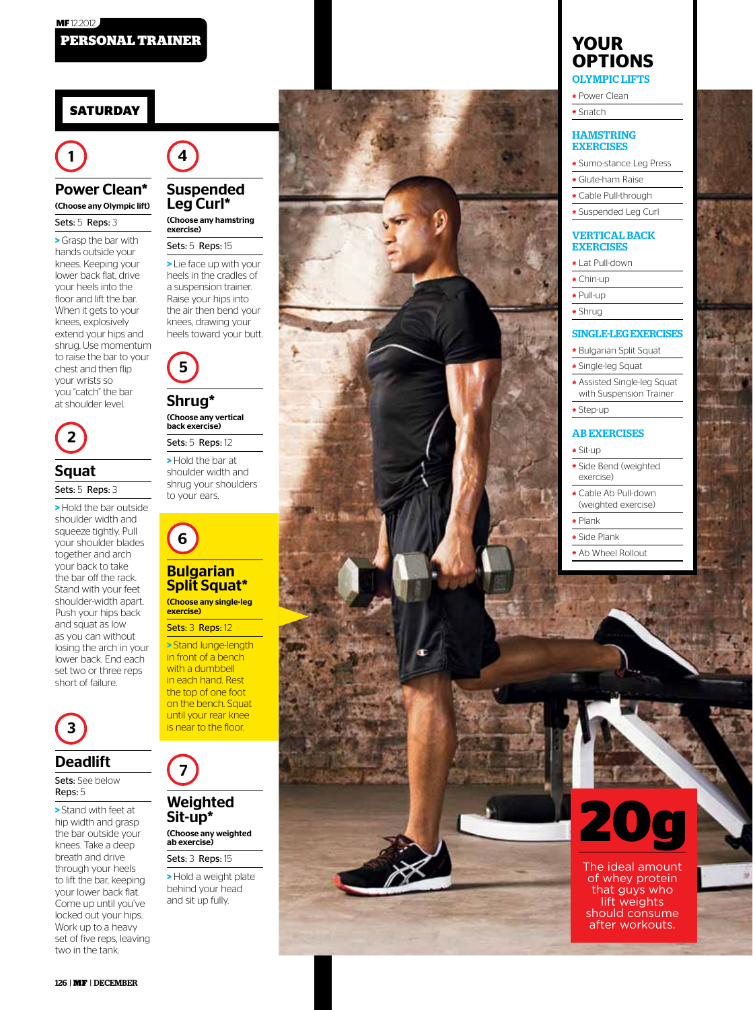# **Saturday**

### Power Clean\* (Choose any Olympic lift)

Sets: 5 Reps: 3

**>** Grasp the bar with hands outside your knees. Keeping your lower back flat, drive your heels into the floor and lift the bar. When it gets to your knees, explosively extend your hips and shrug. Use momentum to raise the bar to your chest and then flip your wrists so .<br>you "catch" the bar<br>at shoulder level. at shoulder level. 1



# Squat

### Sets: 5 Reps: 3

**>** Hold the bar outside shoulder width and squeeze tightly. Pull your shoulder blades together and arch your back to take the bar off the rack. Stand with your feet shoulder-width apart. Push your hips back and squat as low as you can without losing the arch in your lower back. End each set two or three reps **Squat**<br> **Sets:** 5 Reps: 3<br>
> Hold the bar<br>
shoulder width<br>
squeeze tightly<br>
your shoulder<br>
together and a<br>
the bar off the<br>
shoulder-width<br>
Push your hips<br>
and squat as lc<br>
losing the arch<br>
losing the arch<br>
stower back. E



### Deadlift

Sets: See below Reps: 5

**>** Stand with feet at hip width and grasp the bar outside your knees. Take a deep breath and drive through your heels to lift the bar, keeping your lower back flat. Come up until you've locked out your hips. Work up to a heavy set of five reps, leaving **3**<br> **Deadlift**<br>
Sets: See below<br>
Reps: 5<br>
> Stand with fee<br>
the bar outside<br>
knees. Take a d<br>
breath and driv<br>
through your had<br>
to lift the bar, ke<br>
Come up until your<br>
locked out your<br>
work up to a had<br>
set of five reps



### Suspended Leg Curl\*

(Choose any hamstring exercise)

### Sets: 5 Reps: 15

**>** Lie face up with your heels in the cradles of a suspension trainer. Raise your hips into the air then bend your knees, drawing your<br>heels toward your butt. **4**<br> **Suspended**<br> **Leg Curl<sup>\*\*</sup>**<br> **Choose any hamstring<br>
sets: 5 Reps: 15<br>
<br>
Lie face up with your<br>
heels in the cradles of<br>
Raise your hips into<br>
Raise your hips into<br>
the air then bend your<br>
thes, drawing your<br>
heels tow** 



### Shrug\* (Choose any vertical back exercise)

Sets: 5 Reps: 12 **>** Hold the bar at shoulder width and shrug your shoulders<br>to your ears. **5**<br> **Shrug\***<br>
Choose any v<br>
back exercise<br>
Sets: 5 Reps<br>
> Hold the b.<br>
shoulder wice<br>
to your ears.



# Split Squat\*

(Choose any single-leg exercise)

#### Sets: 3 Reps: 12

**>** Stand lunge-length in front of a bench with a dumbbell in each hand. Rest the top of one foot on the bench. Squat until your rear knee<br>is near to the floor. **6**<br> **Bulgarian**<br> **Split Squations**<br> **Split Squations**<br> **Sets:** 3 Reps: 12<br> **Stand lunge-leng**<br>
in front of a bench with a dumbbell<br>
in each hand. Rest<br>
the top of one foom<br>
on the bench. Squantil your rear kne



# Sit-up\* (Choose any weighted

ab exercise) Sets: 3 Reps: 15

**>** Hold a weight plate behind your head



# **your options** Oly mpi c Lifts

**\*** Power Clean

**\*** Snatch

### **HAMSTRING EXERCISES**

- **\*** Sumo-stance Leg Press **\*** Glute-ham Raise
- 
- **\*** Cable Pull-through
- **\*** Suspended Leg Curl

### Vertical Back **EXERCISES**

**\*** Lat Pull-down

- **\*** Chin-up
- **\*** Pull-up
- **\*** Shrug

# Single-Leg Exercis e s

- **\*** Bulgarian Split Squat
- **\*** Single-leg Squat
- **\*** Assisted Single-leg Squat with Suspension Trainer
- **\*** Step-up

### **AB EXERCISES**

#### **\*** Sit-up

- **\*** Side Bend (weighted exercise)
- **\*** Cable Ab Pull-down (weighted exercise)
- **\*** Plank
- **\*** Side Plank
- 
- **\*** Ab Wheel Rollout

# **20 g**

The ideal amount of whey protein that guys who lift weights should consume after workouts.

126 | MF | DECEMBER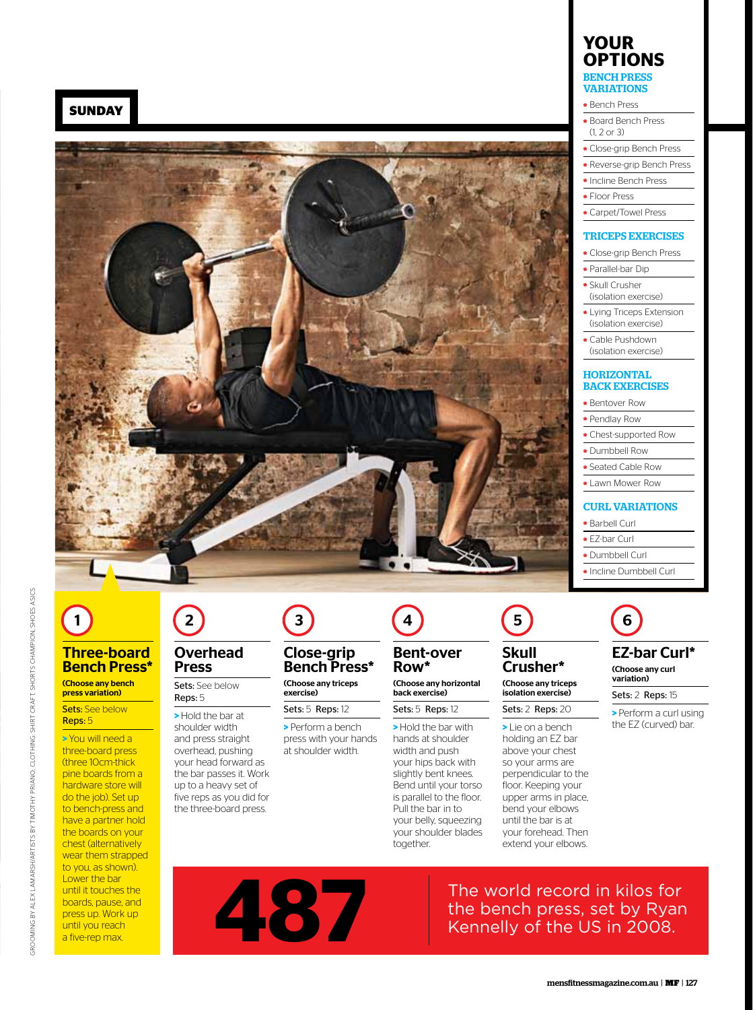**Sunday**



1

Three-board **Bench Press**\* (Choose any bench<br>press variation) **Sets: See below** Reps: 5

**>** You will need a three-board press

(three 10cm-thick pine boards from a hardware store will do the job). Set up to bench-press and have a partner hold the boards on your chest (alternatively wear them strapped to you, as shown). Lower the bar until it touches the boards, pause, and press up. Work up until you reach a five-rep max.

# 2

### Overhead Press

Sets: See below Reps: 5

**>** Hold the bar at shoulder width and press straight overhead, pushing your head forward as the bar passes it. Work up to a heavy set of five reps as you did for the three-board press.

# 3

# Close-grip Bench Press\*

(Choose any triceps exercise) Sets: 5 Reps: 12

**>** Perform a bench press with your hands at shoulder width.

Row\* (Choose any horizontal back exercise)

4

Sets: 5 Reps: 12

Bent-over

**>** Hold the bar with hands at shoulder width and push your hips back with slightly bent knees. Bend until your torso is parallel to the floor. Pull the bar in to your belly, squeezing your shoulder blades together.



### Skull Crusher\*

(Choose any triceps isolation exercise) Sets: 2 Reps: 20

**>** Lie on a bench holding an EZ bar above your chest so your arms are perpendicular to the floor. Keeping your upper arms in place, bend your elbows until the bar is at your forehead. Then extend your elbows.



**\*** Bench Press

- **\*** Board Bench Press
- (1, 2 or 3)
- **\*** Close-grip Bench Press
- **\*** Reverse-grip Bench Press
- **\*** Incline Bench Press
- **\*** Floor Press
- **\*** Carpet/Towel Press

### Triceps Exercises

- **\*** Close-grip Bench Press
- **\*** Parallel-bar Dip
- **\*** Skull Crusher (isolation exercise)
- **\*** Lying Triceps Extension (isolation exercise)
- **\*** Cable Pushdown (isolation exercise)

### **HORIZONTAL** Back Exercises

- **\*** Bentover Row
- **\*** Pendlay Row
- **\*** Chest-supported Row
- **\*** Dumbbell Row
- **\*** Seated Cable Row
- **\*** Lawn Mower Row

### Curl Variations

- **\*** Barbell Curl
- **\*** EZ-bar Curl
- **\*** Dumbbell Curl
- **\*** Incline Dumbbell Curl

6 EZ-bar Curl\*

# (Choose any curl

Sets: 2 Reps: 15

variation)

**>** Perform a curl using the EZ (curved) bar.

The world record in kilos for the bench press, set by Ryan The world record in kilos for the bench press, set by Rya<br>Kennelly of the US in 2008.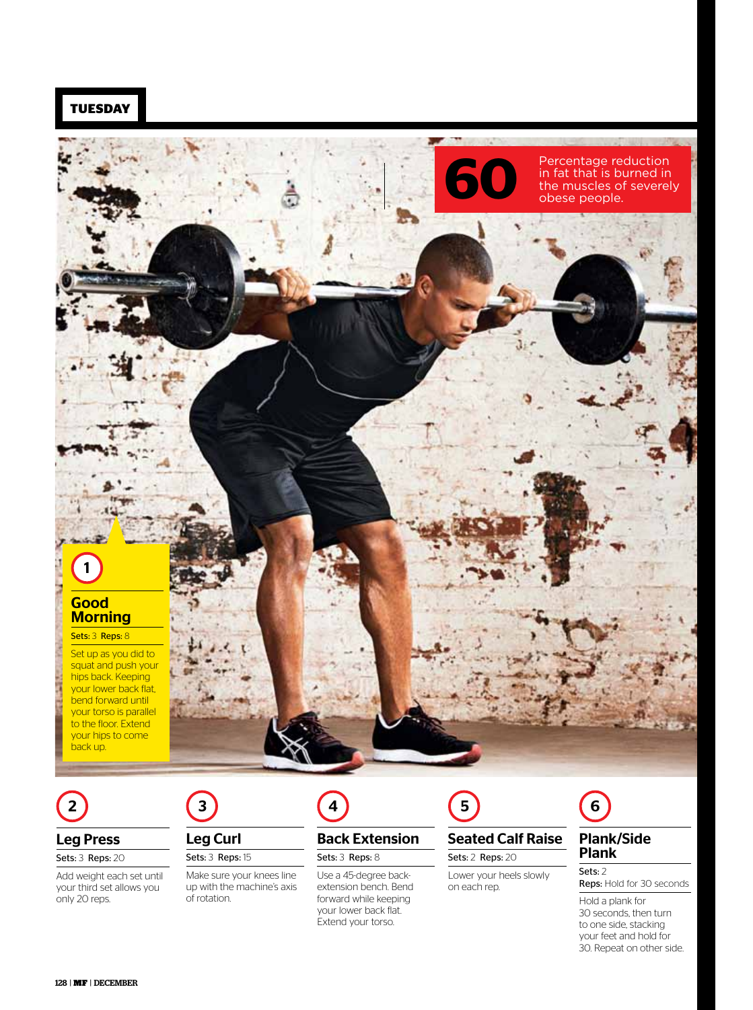

2

### Leg Press

Sets: 3 Reps: 20

Add weight each set until your third set allows you only 20 reps.



# Leg Curl Sets: 3 Reps: 15

Make sure your knees line up with the machine's axis of rotation.



# Back Extension Sets: 3 Reps: 8

Use a 45-degree backextension bench. Bend forward while keeping your lower back flat. Extend your torso.



# Seated Calf Raise Sets: 2 Reps: 20

Lower your heels slowly on each rep.



### Plank/Side Plank

Sets: 2 Reps: Hold for 30 seconds

Hold a plank for 30 seconds, then turn to one side, stacking your feet and hold for 30. Repeat on other side.